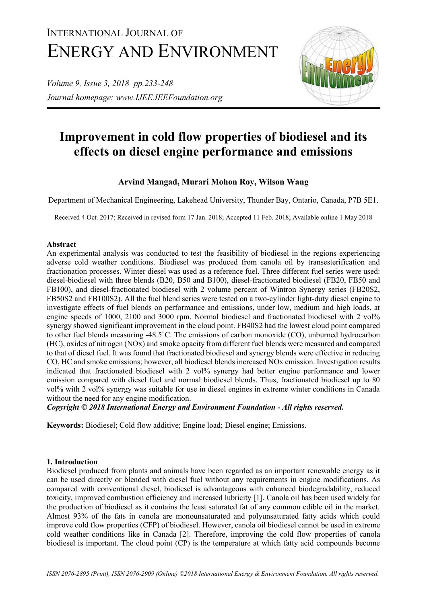# INTERNATIONAL JOURNAL OF ENERGY AND ENVIRONMENT

*Volume 9, Issue 3, 2018 pp.233-248 Journal homepage: www.IJEE.IEEFoundation.org*



# **Improvement in cold flow properties of biodiesel and its effects on diesel engine performance and emissions**

# **Arvind Mangad, Murari Mohon Roy, Wilson Wang**

Department of Mechanical Engineering, Lakehead University, Thunder Bay, Ontario, Canada, P7B 5E1.

Received 4 Oct. 2017; Received in revised form 17 Jan. 2018; Accepted 11 Feb. 2018; Available online 1 May 2018

# **Abstract**

An experimental analysis was conducted to test the feasibility of biodiesel in the regions experiencing adverse cold weather conditions. Biodiesel was produced from canola oil by transesterification and fractionation processes. Winter diesel was used as a reference fuel. Three different fuel series were used: diesel-biodiesel with three blends (B20, B50 and B100), diesel-fractionated biodiesel (FB20, FB50 and FB100), and diesel-fractionated biodiesel with 2 volume percent of Wintron Synergy series (FB20S2, FB50S2 and FB100S2). All the fuel blend series were tested on a two-cylinder light-duty diesel engine to investigate effects of fuel blends on performance and emissions, under low, medium and high loads, at engine speeds of 1000, 2100 and 3000 rpm. Normal biodiesel and fractionated biodiesel with 2 vol% synergy showed significant improvement in the cloud point. FB40S2 had the lowest cloud point compared to other fuel blends measuring -48.5˚C. The emissions of carbon monoxide (CO), unburned hydrocarbon (HC), oxides of nitrogen (NOx) and smoke opacity from different fuel blends were measured and compared to that of diesel fuel. It was found that fractionated biodiesel and synergy blends were effective in reducing CO, HC and smoke emissions; however, all biodiesel blends increased NOx emission. Investigation results indicated that fractionated biodiesel with 2 vol% synergy had better engine performance and lower emission compared with diesel fuel and normal biodiesel blends. Thus, fractionated biodiesel up to 80 vol% with 2 vol% synergy was suitable for use in diesel engines in extreme winter conditions in Canada without the need for any engine modification.

*Copyright © 2018 International Energy and Environment Foundation - All rights reserved.*

**Keywords:** Biodiesel; Cold flow additive; Engine load; Diesel engine; Emissions.

# **1. Introduction**

Biodiesel produced from plants and animals have been regarded as an important renewable energy as it can be used directly or blended with diesel fuel without any requirements in engine modifications. As compared with conventional diesel, biodiesel is advantageous with enhanced biodegradability, reduced toxicity, improved combustion efficiency and increased lubricity [1]. Canola oil has been used widely for the production of biodiesel as it contains the least saturated fat of any common edible oil in the market. Almost 93% of the fats in canola are monounsaturated and polyunsaturated fatty acids which could improve cold flow properties (CFP) of biodiesel. However, canola oil biodiesel cannot be used in extreme cold weather conditions like in Canada [2]. Therefore, improving the cold flow properties of canola biodiesel is important. The cloud point (CP) is the temperature at which fatty acid compounds become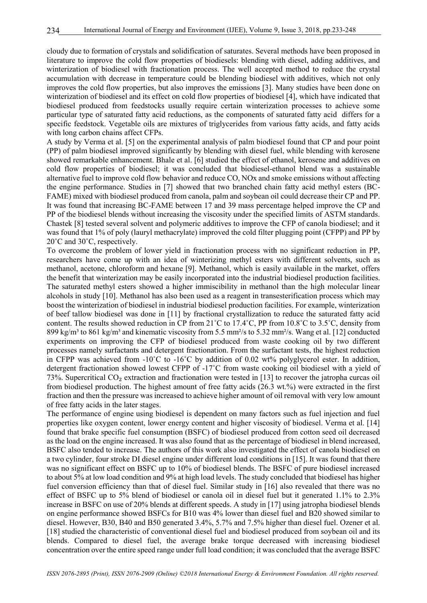cloudy due to formation of crystals and solidification of saturates. Several methods have been proposed in literature to improve the cold flow properties of biodiesels: blending with diesel, adding additives, and winterization of biodiesel with fractionation process. The well accepted method to reduce the crystal accumulation with decrease in temperature could be blending biodiesel with additives, which not only improves the cold flow properties, but also improves the emissions [3]. Many studies have been done on winterization of biodiesel and its effect on cold flow properties of biodiesel [4], which have indicated that biodiesel produced from feedstocks usually require certain winterization processes to achieve some particular type of saturated fatty acid reductions, as the components of saturated fatty acid differs for a specific feedstock. Vegetable oils are mixtures of triglycerides from various fatty acids, and fatty acids with long carbon chains affect CFPs.

A study by Verma et al. [5] on the experimental analysis of palm biodiesel found that CP and pour point (PP) of palm biodiesel improved significantly by blending with diesel fuel, while blending with kerosene showed remarkable enhancement. Bhale et al. [6] studied the effect of ethanol, kerosene and additives on cold flow properties of biodiesel; it was concluded that biodiesel-ethanol blend was a sustainable alternative fuel to improve cold flow behavior and reduce CO, NOx and smoke emissions without affecting the engine performance. Studies in [7] showed that two branched chain fatty acid methyl esters (BC-FAME) mixed with biodiesel produced from canola, palm and soybean oil could decrease their CP and PP. It was found that increasing BC-FAME between 17 and 39 mass percentage helped improve the CP and PP of the biodiesel blends without increasing the viscosity under the specified limits of ASTM standards. Chastek [8] tested several solvent and polymeric additives to improve the CFP of canola biodiesel; and it was found that 1% of poly (lauryl methacrylate) improved the cold filter plugging point (CFPP) and PP by 20˚C and 30˚C, respectively.

To overcome the problem of lower yield in fractionation process with no significant reduction in PP, researchers have come up with an idea of winterizing methyl esters with different solvents, such as methanol, acetone, chloroform and hexane [9]. Methanol, which is easily available in the market, offers the benefit that winterization may be easily incorporated into the industrial biodiesel production facilities. The saturated methyl esters showed a higher immiscibility in methanol than the high molecular linear alcohols in study [10]. Methanol has also been used as a reagent in transesterification process which may boost the winterization of biodiesel in industrial biodiesel production facilities. For example, winterization of beef tallow biodiesel was done in [11] by fractional crystallization to reduce the saturated fatty acid content. The results showed reduction in CP from 21˚C to 17.4˚C, PP from 10.8˚C to 3.5˚C, density from 899 kg/m<sup>3</sup> to 861 kg/m<sup>3</sup> and kinematic viscosity from 5.5 mm<sup>2</sup>/s to 5.32 mm<sup>2</sup>/s. Wang et al. [12] conducted experiments on improving the CFP of biodiesel produced from waste cooking oil by two different processes namely surfactants and detergent fractionation. From the surfactant tests, the highest reduction in CFPP was achieved from  $-10^{\circ}$ C to  $-16^{\circ}$ C by addition of 0.02 wt% polyglycerol ester. In addition, detergent fractionation showed lowest CFPP of -17˚C from waste cooking oil biodiesel with a yield of 73%. Supercritical CO₂ extraction and fractionation were tested in [13] to recover the jatropha curcas oil from biodiesel production. The highest amount of free fatty acids (26.3 wt.%) were extracted in the first fraction and then the pressure was increased to achieve higher amount of oil removal with very low amount of free fatty acids in the later stages.

The performance of engine using biodiesel is dependent on many factors such as fuel injection and fuel properties like oxygen content, lower energy content and higher viscosity of biodiesel. Verma et al. [14] found that brake specific fuel consumption (BSFC) of biodiesel produced from cotton seed oil decreased as the load on the engine increased. It was also found that as the percentage of biodiesel in blend increased, BSFC also tended to increase. The authors of this work also investigated the effect of canola biodiesel on a two cylinder, four stroke DI diesel engine under different load conditions in [15]. It was found that there was no significant effect on BSFC up to 10% of biodiesel blends. The BSFC of pure biodiesel increased to about 5% at low load condition and 9% at high load levels. The study concluded that biodiesel has higher fuel conversion efficiency than that of diesel fuel. Similar study in [16] also revealed that there was no effect of BSFC up to 5% blend of biodiesel or canola oil in diesel fuel but it generated 1.1% to 2.3% increase in BSFC on use of 20% blends at different speeds. A study in [17] using jatropha biodiesel blends on engine performance showed BSFCs for B10 was 4% lower than diesel fuel and B20 showed similar to diesel. However, B30, B40 and B50 generated 3.4%, 5.7% and 7.5% higher than diesel fuel. Ozener et al. [18] studied the characteristic of conventional diesel fuel and biodiesel produced from soybean oil and its blends. Compared to diesel fuel, the average brake torque decreased with increasing biodiesel concentration over the entire speed range under full load condition; it was concluded that the average BSFC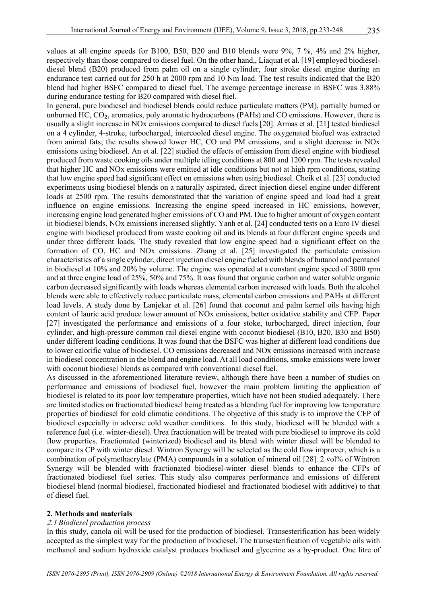values at all engine speeds for B100, B50, B20 and B10 blends were 9%, 7 %, 4% and 2% higher, respectively than those compared to diesel fuel. On the other hand,, Liaquat et al. [19] employed biodieseldiesel blend (B20) produced from palm oil on a single cylinder, four stroke diesel engine during an endurance test carried out for 250 h at 2000 rpm and 10 Nm load. The test results indicated that the B20 blend had higher BSFC compared to diesel fuel. The average percentage increase in BSFC was 3.88% during endurance testing for B20 compared with diesel fuel.

In general, pure biodiesel and biodiesel blends could reduce particulate matters (PM), partially burned or unburned HC, CO<sub>2</sub>, aromatics, poly aromatic hydrocarbons (PAHs) and CO emissions. However, there is usually a slight increase in NOx emissions compared to diesel fuels [20]. Armas et al. [21] tested biodiesel on a 4 cylinder, 4-stroke, turbocharged, intercooled diesel engine. The oxygenated biofuel was extracted from animal fats; the results showed lower HC, CO and PM emissions, and a slight decrease in NOx emissions using biodiesel. An et al. [22] studied the effects of emission from diesel engine with biodiesel produced from waste cooking oils under multiple idling conditions at 800 and 1200 rpm. The tests revealed that higher HC and NOx emissions were emitted at idle conditions but not at high rpm conditions, stating that low engine speed had significant effect on emissions when using biodiesel. Cheik et al. [23] conducted experiments using biodiesel blends on a naturally aspirated, direct injection diesel engine under different loads at 2500 rpm. The results demonstrated that the variation of engine speed and load had a great influence on engine emissions. Increasing the engine speed increased in HC emissions, however, increasing engine load generated higher emissions of CO and PM. Due to higher amount of oxygen content in biodiesel blends, NOx emissions increased slightly. Yanh et al. [24] conducted tests on a Euro IV diesel engine with biodiesel produced from waste cooking oil and its blends at four different engine speeds and under three different loads. The study revealed that low engine speed had a significant effect on the formation of CO, HC and NOx emissions. Zhang et al. [25] investigated the particulate emission characteristics of a single cylinder, direct injection diesel engine fueled with blends of butanol and pentanol in biodiesel at 10% and 20% by volume. The engine was operated at a constant engine speed of 3000 rpm and at three engine load of 25%, 50% and 75%. It was found that organic carbon and water soluble organic carbon decreased significantly with loads whereas elemental carbon increased with loads. Both the alcohol blends were able to effectively reduce particulate mass, elemental carbon emissions and PAHs at different load levels. A study done by Lanjekar et al. [26] found that coconut and palm kernel oils having high content of lauric acid produce lower amount of NOx emissions, better oxidative stability and CFP. Paper [27] investigated the performance and emissions of a four stoke, turbocharged, direct injection, four cylinder, and high-pressure common rail diesel engine with coconut biodiesel (B10, B20, B30 and B50) under different loading conditions. It was found that the BSFC was higher at different load conditions due to lower calorific value of biodiesel. CO emissions decreased and NOx emissions increased with increase in biodiesel concentration in the blend and engine load. At all load conditions, smoke emissions were lower with coconut biodiesel blends as compared with conventional diesel fuel.

As discussed in the aforementioned literature review, although there have been a number of studies on performance and emissions of biodiesel fuel, however the main problem limiting the application of biodiesel is related to its poor low temperature properties, which have not been studied adequately. There are limited studies on fractionated biodiesel being treated as a blending fuel for improving low temperature properties of biodiesel for cold climatic conditions. The objective of this study is to improve the CFP of biodiesel especially in adverse cold weather conditions. In this study, biodiesel will be blended with a reference fuel (i.e. winter-diesel). Urea fractionation will be treated with pure biodiesel to improve its cold flow properties. Fractionated (winterized) biodiesel and its blend with winter diesel will be blended to compare its CP with winter diesel. Wintron Synergy will be selected as the cold flow improver, which is a combination of polymethacrylate (PMA) compounds in a solution of mineral oil [28]. 2 vol% of Wintron Synergy will be blended with fractionated biodiesel-winter diesel blends to enhance the CFPs of fractionated biodiesel fuel series. This study also compares performance and emissions of different biodiesel blend (normal biodiesel, fractionated biodiesel and fractionated biodiesel with additive) to that of diesel fuel.

#### **2. Methods and materials**

#### 1.2 *Biodiesel production process*

In this study, canola oil will be used for the production of biodiesel. Transesterification has been widely accepted as the simplest way for the production of biodiesel. The transesterification of vegetable oils with methanol and sodium hydroxide catalyst produces biodiesel and glycerine as a by-product. One litre of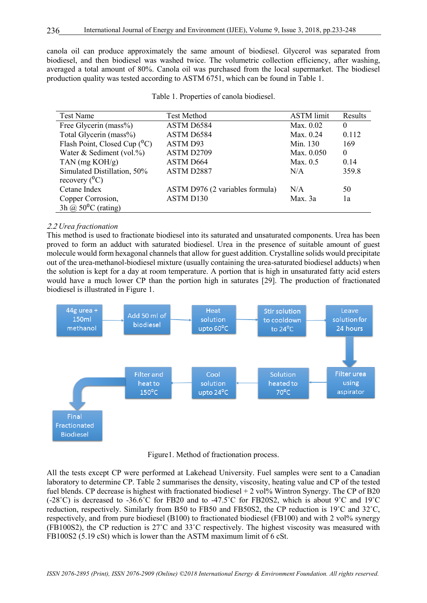canola oil can produce approximately the same amount of biodiesel. Glycerol was separated from biodiesel, and then biodiesel was washed twice. The volumetric collection efficiency, after washing, averaged a total amount of 80%. Canola oil was purchased from the local supermarket. The biodiesel production quality was tested according to ASTM 6751, which can be found in Table 1.

| Test Name                       | <b>Test Method</b>              | <b>ASTM</b> limit | Results  |
|---------------------------------|---------------------------------|-------------------|----------|
| Free Glycerin (mass%)           | ASTM D6584                      | Max. 0.02         | $\theta$ |
| Total Glycerin (mass%)          | ASTM D6584                      | Max. 0.24         | 0.112    |
| Flash Point, Closed Cup $(^0C)$ | ASTM D93                        | Min. 130          | 169      |
| Water & Sediment (vol.%)        | ASTM D2709                      | Max. 0.050        | $\theta$ |
| TAN $(mg KOH/g)$                | ASTM D664                       | Max. $0.5$        | 0.14     |
| Simulated Distillation, 50%     | ASTM D2887                      | N/A               | 359.8    |
| recovery $(^0C)$                |                                 |                   |          |
| Cetane Index                    | ASTM D976 (2 variables formula) | N/A               | 50       |
| Copper Corrosion,               | ASTM D130                       | Max. 3a           | 1a       |
| 3h @ $50^{\circ}$ C (rating)    |                                 |                   |          |

Table 1. Properties of canola biodiesel.

# 1.1 *Urea fractionation*

This method is used to fractionate biodiesel into its saturated and unsaturated components. Urea has been proved to form an adduct with saturated biodiesel. Urea in the presence of suitable amount of guest molecule would form hexagonal channels that allow for guest addition. Crystalline solids would precipitate out of the urea-methanol-biodiesel mixture (usually containing the urea-saturated biodiesel adducts) when the solution is kept for a day at room temperature. A portion that is high in unsaturated fatty acid esters would have a much lower CP than the portion high in saturates [29]. The production of fractionated biodiesel is illustrated in Figure 1.



Figure1. Method of fractionation process.

All the tests except CP were performed at Lakehead University. Fuel samples were sent to a Canadian laboratory to determine CP. Table 2 summarises the density, viscosity, heating value and CP of the tested fuel blends. CP decrease is highest with fractionated biodiesel  $+ 2$  vol% Wintron Synergy. The CP of B20  $(-28^\circ \text{C})$  is decreased to  $-36.6^\circ \text{C}$  for FB20 and to  $-47.5^\circ \text{C}$  for FB20S2, which is about 9°C and 19°C reduction, respectively. Similarly from B50 to FB50 and FB50S2, the CP reduction is 19˚C and 32˚C, respectively, and from pure biodiesel (B100) to fractionated biodiesel (FB100) and with 2 vol% synergy (FB100S2), the CP reduction is 27˚C and 33˚C respectively. The highest viscosity was measured with FB100S2 (5.19 cSt) which is lower than the ASTM maximum limit of 6 cSt.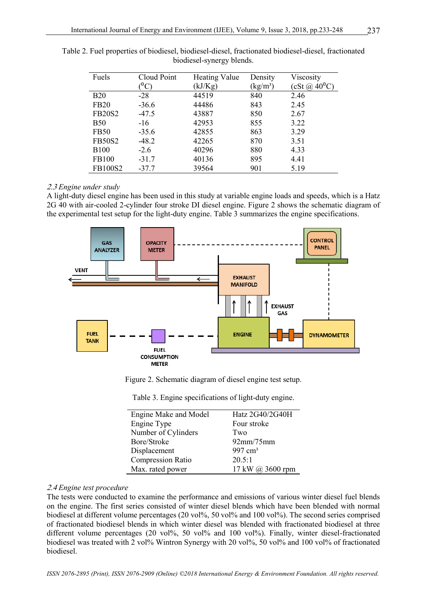| Fuels         | Cloud Point      | <b>Heating Value</b> | Density    | Viscosity         |
|---------------|------------------|----------------------|------------|-------------------|
|               | ${}^0\mathrm{C}$ | (kJ/Kg)              | $(kg/m^3)$ | $(cSt (a) 40^0C)$ |
| <b>B20</b>    | $-28$            | 44519                | 840        | 2.46              |
| <b>FB20</b>   | $-36.6$          | 44486                | 843        | 2.45              |
| <b>FB20S2</b> | $-47.5$          | 43887                | 850        | 2.67              |
| <b>B50</b>    | $-16$            | 42953                | 855        | 3.22              |
| <b>FB50</b>   | $-35.6$          | 42855                | 863        | 3.29              |
| <b>FB50S2</b> | $-48.2$          | 42265                | 870        | 3.51              |
| <b>B100</b>   | $-2.6$           | 40296                | 880        | 4.33              |
| FB100         | $-31.7$          | 40136                | 895        | 4.41              |
| FB100S2       | $-37.7$          | 39564                | 901        | 5.19              |

Table 2. Fuel properties of biodiesel, biodiesel-diesel, fractionated biodiesel-diesel, fractionated biodiesel-synergy blends.

#### 1.2 *Engine under study*

A light-duty diesel engine has been used in this study at variable engine loads and speeds, which is a Hatz 2G 40 with air-cooled 2-cylinder four stroke DI diesel engine. Figure 2 shows the schematic diagram of the experimental test setup for the light-duty engine. Table 3 summarizes the engine specifications.



Figure 2. Schematic diagram of diesel engine test setup.

|  | Table 3. Engine specifications of light-duty engine. |  |  |
|--|------------------------------------------------------|--|--|
|  |                                                      |  |  |

| Engine Make and Model    | Hatz 2G40/2G40H    |
|--------------------------|--------------------|
| Engine Type              | Four stroke        |
| Number of Cylinders      | Two                |
| Bore/Stroke              | 92mm/75mm          |
| Displacement             | $997 \text{ cm}^3$ |
| <b>Compression Ratio</b> | 20.5:1             |
| Max. rated power         | 17 kW @ 3600 rpm   |

#### 1.2 *Engine test procedure*

The tests were conducted to examine the performance and emissions of various winter diesel fuel blends on the engine. The first series consisted of winter diesel blends which have been blended with normal biodiesel at different volume percentages (20 vol%, 50 vol% and 100 vol%). The second series comprised of fractionated biodiesel blends in which winter diesel was blended with fractionated biodiesel at three different volume percentages (20 vol%, 50 vol% and 100 vol%). Finally, winter diesel-fractionated biodiesel was treated with 2 vol% Wintron Synergy with 20 vol%, 50 vol% and 100 vol% of fractionated biodiesel.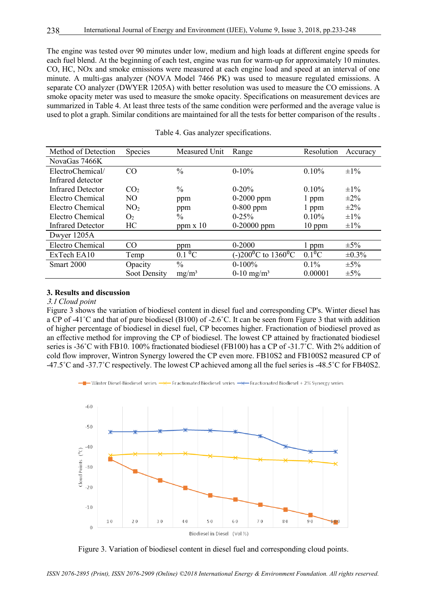The engine was tested over 90 minutes under low, medium and high loads at different engine speeds for each fuel blend. At the beginning of each test, engine was run for warm-up for approximately 10 minutes. CO, HC, NOx and smoke emissions were measured at each engine load and speed at an interval of one minute. A multi-gas analyzer (NOVA Model 7466 PK) was used to measure regulated emissions. A separate CO analyzer (DWYER 1205A) with better resolution was used to measure the CO emissions. A smoke opacity meter was used to measure the smoke opacity. Specifications on measurement devices are summarized in Table 4. At least three tests of the same condition were performed and the average value is used to plot a graph. Similar conditions are maintained for all the tests for better comparison of the results .

| Method of Detection      | <b>Species</b>  | Measured Unit            | Range                                        | Resolution           | Accuracy    |
|--------------------------|-----------------|--------------------------|----------------------------------------------|----------------------|-------------|
| NovaGas 7466K            |                 |                          |                                              |                      |             |
| ElectroChemical/         | CO              | $\frac{0}{0}$            | $0-10%$                                      | 0.10%                | $\pm 1\%$   |
| Infrared detector        |                 |                          |                                              |                      |             |
| <b>Infrared Detector</b> | CO <sub>2</sub> | $\frac{0}{0}$            | $0-20%$                                      | 0.10%                | $\pm 1\%$   |
| Electro Chemical         | N <sub>O</sub>  | ppm                      | $0-2000$ ppm                                 | 1 ppm                | $\pm 2\%$   |
| Electro Chemical         | NO <sub>2</sub> | ppm                      | $0-800$ ppm                                  | 1 ppm                | $\pm 2\%$   |
| Electro Chemical         | O <sub>2</sub>  | $\frac{0}{0}$            | $0 - 25%$                                    | 0.10%                | $\pm 1\%$   |
| <b>Infrared Detector</b> | HC              | $ppm \times 10$          | $0-20000$ ppm                                | $10$ ppm             | $\pm 1\%$   |
| Dwyer 1205A              |                 |                          |                                              |                      |             |
| Electro Chemical         | CO.             | ppm                      | $0 - 2000$                                   | l ppm                | $\pm 5\%$   |
| ExTech EA10              | Temp            | $0.1 \text{ }^0\text{C}$ | (-)200 <sup>o</sup> C to 1360 <sup>o</sup> C | $0.1$ <sup>o</sup> C | $\pm 0.3\%$ |
| Smart 2000               | Opacity         | $\frac{0}{0}$            | $0-100%$                                     | $0.1\%$              | $\pm 5\%$   |
|                          | Soot Density    | $mg/m^3$                 | $0-10$ mg/m <sup>3</sup>                     | 0.00001              | $\pm 5\%$   |

Table 4. Gas analyzer specifications.

#### **3. Results and discussion**

#### 2.2 *Cloud point*

Figure 3 shows the variation of biodiesel content in diesel fuel and corresponding CP's. Winter diesel has a CP of -41˚C and that of pure biodiesel (B100) of -2.6˚C. It can be seen from Figure 3 that with addition of higher percentage of biodiesel in diesel fuel, CP becomes higher. Fractionation of biodiesel proved as an effective method for improving the CP of biodiesel. The lowest CP attained by fractionated biodiesel series is -36°C with FB10. 100% fractionated biodiesel (FB100) has a CP of -31.7°C. With 2% addition of cold flow improver, Wintron Synergy lowered the CP even more. FB10S2 and FB100S2 measured CP of -47.5˚C and -37.7˚C respectively. The lowest CP achieved among all the fuel series is -48.5˚C for FB40S2.





Figure 3. Variation of biodiesel content in diesel fuel and corresponding cloud points.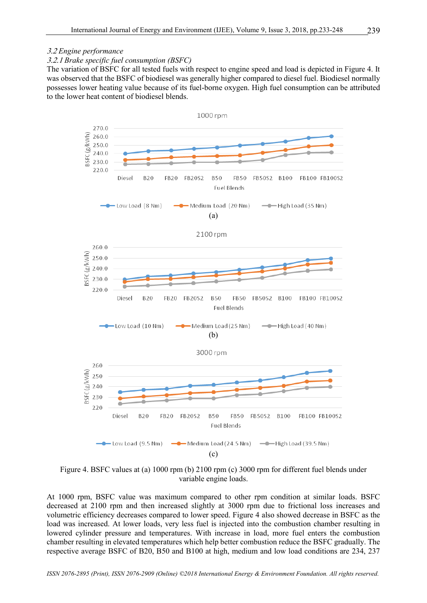# 2.1.2 *Brake specific fuel consumption (BSFC)*

The variation of BSFC for all tested fuels with respect to engine speed and load is depicted in Figure 4. It was observed that the BSFC of biodiesel was generally higher compared to diesel fuel. Biodiesel normally possesses lower heating value because of its fuel-borne oxygen. High fuel consumption can be attributed to the lower heat content of biodiesel blends.



Figure 4. BSFC values at (a) 1000 rpm (b) 2100 rpm (c) 3000 rpm for different fuel blends under variable engine loads.

At 1000 rpm, BSFC value was maximum compared to other rpm condition at similar loads. BSFC decreased at 2100 rpm and then increased slightly at 3000 rpm due to frictional loss increases and volumetric efficiency decreases compared to lower speed. Figure 4 also showed decrease in BSFC as the load was increased. At lower loads, very less fuel is injected into the combustion chamber resulting in lowered cylinder pressure and temperatures. With increase in load, more fuel enters the combustion chamber resulting in elevated temperatures which help better combustion reduce the BSFC gradually. The respective average BSFC of B20, B50 and B100 at high, medium and low load conditions are 234, 237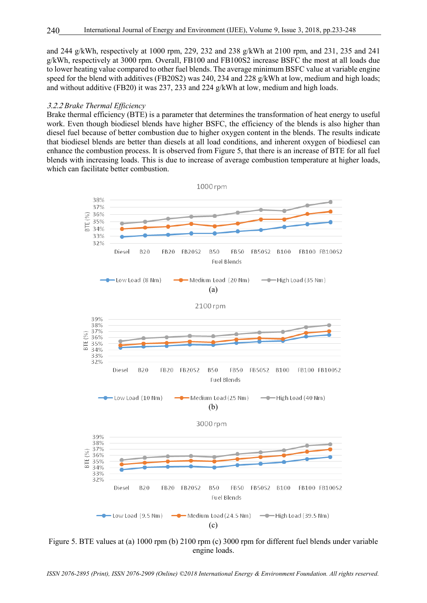and 244 g/kWh, respectively at 1000 rpm, 229, 232 and 238 g/kWh at 2100 rpm, and 231, 235 and 241 g/kWh, respectively at 3000 rpm. Overall, FB100 and FB100S2 increase BSFC the most at all loads due to lower heating value compared to other fuel blends. The average minimum BSFC value at variable engine speed for the blend with additives (FB20S2) was 240, 234 and 228 g/kWh at low, medium and high loads; and without additive (FB20) it was 237, 233 and 224 g/kWh at low, medium and high loads.

#### 2.1.1 *Brake Thermal Efficiency*

Brake thermal efficiency (BTE) is a parameter that determines the transformation of heat energy to useful work. Even though biodiesel blends have higher BSFC, the efficiency of the blends is also higher than diesel fuel because of better combustion due to higher oxygen content in the blends. The results indicate that biodiesel blends are better than diesels at all load conditions, and inherent oxygen of biodiesel can enhance the combustion process. It is observed from Figure 5, that there is an increase of BTE for all fuel blends with increasing loads. This is due to increase of average combustion temperature at higher loads, which can facilitate better combustion.



Figure 5. BTE values at (a) 1000 rpm (b) 2100 rpm (c) 3000 rpm for different fuel blends under variable engine loads.

*ISSN 2076-2895 (Print), ISSN 2076-2909 (Online) ©2018 International Energy & Environment Foundation. All rights reserved.*

240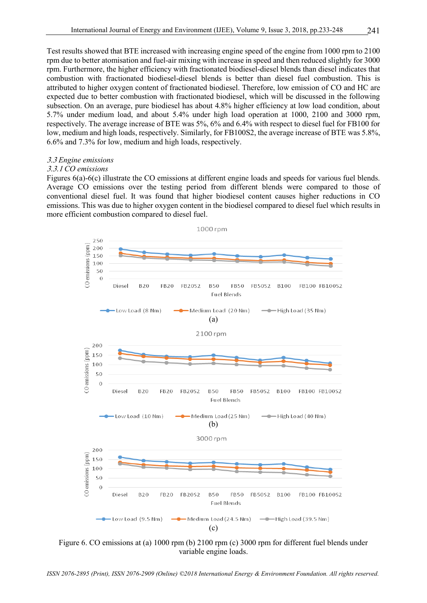Test results showed that BTE increased with increasing engine speed of the engine from 1000 rpm to 2100 rpm due to better atomisation and fuel-air mixing with increase in speed and then reduced slightly for 3000 rpm. Furthermore, the higher efficiency with fractionated biodiesel-diesel blends than diesel indicates that combustion with fractionated biodiesel-diesel blends is better than diesel fuel combustion. This is attributed to higher oxygen content of fractionated biodiesel. Therefore, low emission of CO and HC are expected due to better combustion with fractionated biodiesel, which will be discussed in the following subsection. On an average, pure biodiesel has about 4.8% higher efficiency at low load condition, about 5.7% under medium load, and about 5.4% under high load operation at 1000, 2100 and 3000 rpm, respectively. The average increase of BTE was 5%, 6% and 6.4% with respect to diesel fuel for FB100 for low, medium and high loads, respectively. Similarly, for FB100S2, the average increase of BTE was 5.8%, 6.6% and 7.3% for low, medium and high loads, respectively.

# 2.2 *Engine emissions*

# 2.2.2 *CO emissions*

Figures 6(a)-6(c) illustrate the CO emissions at different engine loads and speeds for various fuel blends. Average CO emissions over the testing period from different blends were compared to those of conventional diesel fuel. It was found that higher biodiesel content causes higher reductions in CO emissions. This was due to higher oxygen content in the biodiesel compared to diesel fuel which results in more efficient combustion compared to diesel fuel.



Figure 6. CO emissions at (a) 1000 rpm (b) 2100 rpm (c) 3000 rpm for different fuel blends under variable engine loads.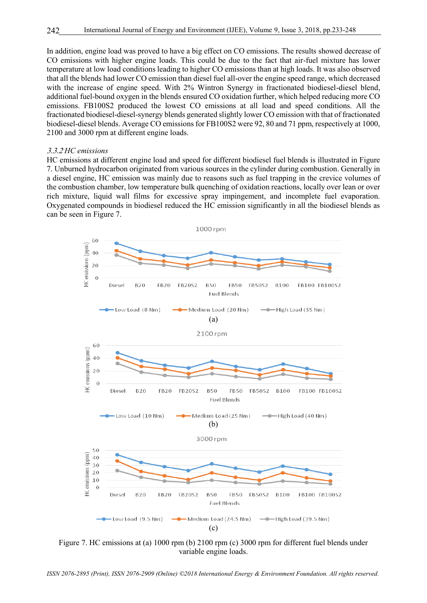In addition, engine load was proved to have a big effect on CO emissions. The results showed decrease of CO emissions with higher engine loads. This could be due to the fact that air-fuel mixture has lower temperature at low load conditions leading to higher CO emissions than at high loads. It was also observed that all the blends had lower CO emission than diesel fuel all-over the engine speed range, which decreased with the increase of engine speed. With 2% Wintron Synergy in fractionated biodiesel-diesel blend, additional fuel-bound oxygen in the blends ensured CO oxidation further, which helped reducing more CO emissions. FB100S2 produced the lowest CO emissions at all load and speed conditions. All the fractionated biodiesel-diesel-synergy blends generated slightly lower CO emission with that of fractionated biodiesel-diesel blends. Average CO emissions for FB100S2 were 92, 80 and 71 ppm, respectively at 1000, 2100 and 3000 rpm at different engine loads.

#### 2.2.1 *HC emissions*

HC emissions at different engine load and speed for different biodiesel fuel blends is illustrated in Figure 7. Unburned hydrocarbon originated from various sources in the cylinder during combustion. Generally in a diesel engine, HC emission was mainly due to reasons such as fuel trapping in the crevice volumes of the combustion chamber, low temperature bulk quenching of oxidation reactions, locally over lean or over rich mixture, liquid wall films for excessive spray impingement, and incomplete fuel evaporation. Oxygenated compounds in biodiesel reduced the HC emission significantly in all the biodiesel blends as can be seen in Figure 7.



Figure 7. HC emissions at (a) 1000 rpm (b) 2100 rpm (c) 3000 rpm for different fuel blends under variable engine loads.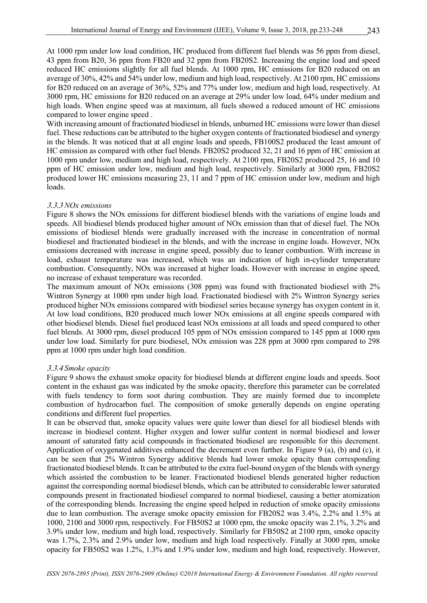At 1000 rpm under low load condition, HC produced from different fuel blends was 56 ppm from diesel, 43 ppm from B20, 36 ppm from FB20 and 32 ppm from FB20S2. Increasing the engine load and speed reduced HC emissions slightly for all fuel blends. At 1000 rpm, HC emissions for B20 reduced on an average of 30%, 42% and 54% under low, medium and high load, respectively. At 2100 rpm, HC emissions for B20 reduced on an average of 36%, 52% and 77% under low, medium and high load, respectively. At 3000 rpm, HC emissions for B20 reduced on an average at 29% under low load, 64% under medium and high loads. When engine speed was at maximum, all fuels showed a reduced amount of HC emissions compared to lower engine speed .

With increasing amount of fractionated biodiesel in blends, unburned HC emissions were lower than diesel fuel. These reductions can be attributed to the higher oxygen contents of fractionated biodiesel and synergy in the blends. It was noticed that at all engine loads and speeds, FB100S2 produced the least amount of HC emission as compared with other fuel blends. FB20S2 produced 32, 21 and 16 ppm of HC emission at 1000 rpm under low, medium and high load, respectively. At 2100 rpm, FB20S2 produced 25, 16 and 10 ppm of HC emission under low, medium and high load, respectively. Similarly at 3000 rpm, FB20S2 produced lower HC emissions measuring 23, 11 and 7 ppm of HC emission under low, medium and high loads.

#### 2.2.2 *NOx emissions*

Figure 8 shows the NOx emissions for different biodiesel blends with the variations of engine loads and speeds. All biodiesel blends produced higher amount of NOx emission than that of diesel fuel. The NOx emissions of biodiesel blends were gradually increased with the increase in concentration of normal biodiesel and fractionated biodiesel in the blends, and with the increase in engine loads. However, NOx emissions decreased with increase in engine speed, possibly due to leaner combustion. With increase in load, exhaust temperature was increased, which was an indication of high in-cylinder temperature combustion. Consequently, NOx was increased at higher loads. However with increase in engine speed, no increase of exhaust temperature was recorded.

The maximum amount of NOx emissions (308 ppm) was found with fractionated biodiesel with 2% Wintron Synergy at 1000 rpm under high load. Fractionated biodiesel with 2% Wintron Synergy series produced higher NOx emissions compared with biodiesel series because synergy has oxygen content in it. At low load conditions, B20 produced much lower NOx emissions at all engine speeds compared with other biodiesel blends. Diesel fuel produced least NOx emissions at all loads and speed compared to other fuel blends. At 3000 rpm, diesel produced 105 ppm of NOx emission compared to 145 ppm at 1000 rpm under low load. Similarly for pure biodiesel, NOx emission was 228 ppm at 3000 rpm compared to 298 ppm at 1000 rpm under high load condition.

#### 2.2.2 *Smoke opacity*

Figure 9 shows the exhaust smoke opacity for biodiesel blends at different engine loads and speeds. Soot content in the exhaust gas was indicated by the smoke opacity, therefore this parameter can be correlated with fuels tendency to form soot during combustion. They are mainly formed due to incomplete combustion of hydrocarbon fuel. The composition of smoke generally depends on engine operating conditions and different fuel properties.

It can be observed that, smoke opacity values were quite lower than diesel for all biodiesel blends with increase in biodiesel content. Higher oxygen and lower sulfur content in normal biodiesel and lower amount of saturated fatty acid compounds in fractionated biodiesel are responsible for this decrement. Application of oxygenated additives enhanced the decrement even further. In Figure 9 (a), (b) and (c), it can be seen that 2% Wintron Synergy additive blends had lower smoke opacity than corresponding fractionated biodiesel blends. It can be attributed to the extra fuel-bound oxygen of the blends with synergy which assisted the combustion to be leaner. Fractionated biodiesel blends generated higher reduction against the corresponding normal biodiesel blends, which can be attributed to considerable lower saturated compounds present in fractionated biodiesel compared to normal biodiesel, causing a better atomization of the corresponding blends. Increasing the engine speed helped in reduction of smoke opacity emissions due to lean combustion. The average smoke opacity emission for FB20S2 was 3.4%, 2.2% and 1.5% at 1000, 2100 and 3000 rpm, respectively. For FB50S2 at 1000 rpm, the smoke opacity was 2.1%, 3.2% and 3.9% under low, medium and high load, respectively. Similarly for FB50S2 at 2100 rpm, smoke opacity was 1.7%, 2.3% and 2.9% under low, medium and high load respectively. Finally at 3000 rpm, smoke opacity for FB50S2 was 1.2%, 1.3% and 1.9% under low, medium and high load, respectively. However,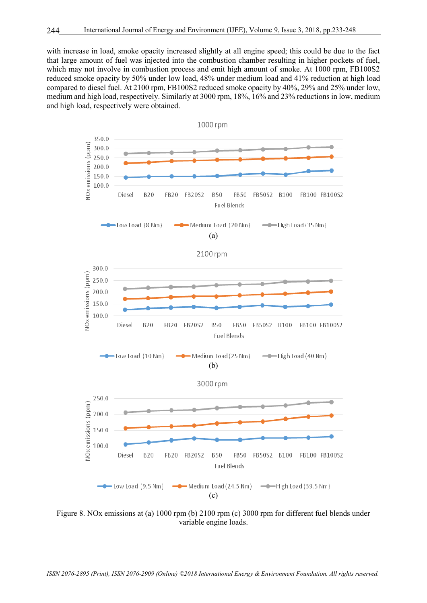with increase in load, smoke opacity increased slightly at all engine speed; this could be due to the fact that large amount of fuel was injected into the combustion chamber resulting in higher pockets of fuel, which may not involve in combustion process and emit high amount of smoke. At 1000 rpm, FB100S2 reduced smoke opacity by 50% under low load, 48% under medium load and 41% reduction at high load compared to diesel fuel. At 2100 rpm, FB100S2 reduced smoke opacity by 40%, 29% and 25% under low, medium and high load, respectively. Similarly at 3000 rpm, 18%, 16% and 23% reductions in low, medium and high load, respectively were obtained.



Figure 8. NOx emissions at (a) 1000 rpm (b) 2100 rpm (c) 3000 rpm for different fuel blends under variable engine loads.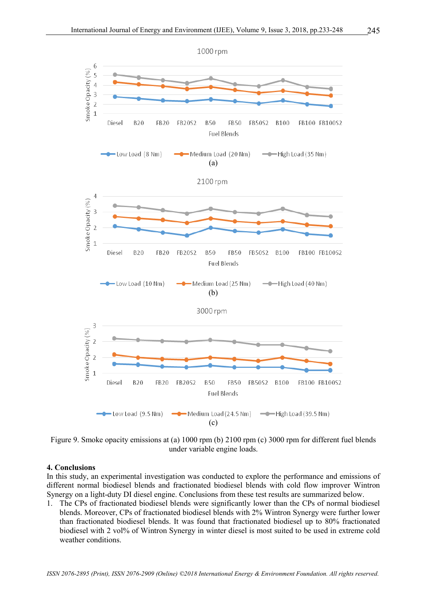

Figure 9. Smoke opacity emissions at (a) 1000 rpm (b) 2100 rpm (c) 3000 rpm for different fuel blends under variable engine loads.

# **4. Conclusions**

In this study, an experimental investigation was conducted to explore the performance and emissions of different normal biodiesel blends and fractionated biodiesel blends with cold flow improver Wintron Synergy on a light-duty DI diesel engine. Conclusions from these test results are summarized below.

1. The CPs of fractionated biodiesel blends were significantly lower than the CPs of normal biodiesel blends. Moreover, CPs of fractionated biodiesel blends with 2% Wintron Synergy were further lower than fractionated biodiesel blends. It was found that fractionated biodiesel up to 80% fractionated biodiesel with 2 vol% of Wintron Synergy in winter diesel is most suited to be used in extreme cold weather conditions.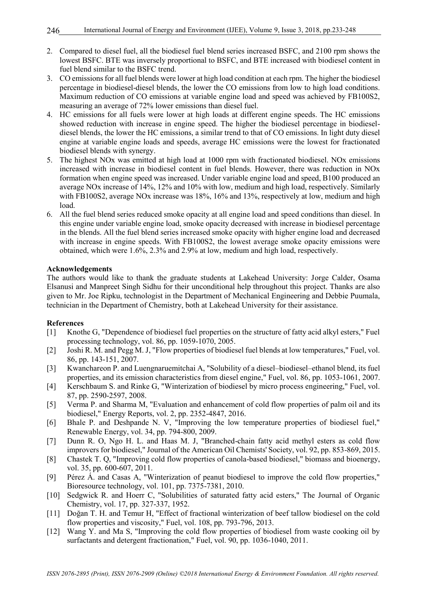- 2. Compared to diesel fuel, all the biodiesel fuel blend series increased BSFC, and 2100 rpm shows the lowest BSFC. BTE was inversely proportional to BSFC, and BTE increased with biodiesel content in fuel blend similar to the BSFC trend.
- 3. CO emissions for all fuel blends were lower at high load condition at each rpm. The higher the biodiesel percentage in biodiesel-diesel blends, the lower the CO emissions from low to high load conditions. Maximum reduction of CO emissions at variable engine load and speed was achieved by FB100S2, measuring an average of 72% lower emissions than diesel fuel.
- 4. HC emissions for all fuels were lower at high loads at different engine speeds. The HC emissions showed reduction with increase in engine speed. The higher the biodiesel percentage in biodieseldiesel blends, the lower the HC emissions, a similar trend to that of CO emissions. In light duty diesel engine at variable engine loads and speeds, average HC emissions were the lowest for fractionated biodiesel blends with synergy.
- 5. The highest NOx was emitted at high load at 1000 rpm with fractionated biodiesel. NOx emissions increased with increase in biodiesel content in fuel blends. However, there was reduction in NOx formation when engine speed was increased. Under variable engine load and speed, B100 produced an average NOx increase of 14%, 12% and 10% with low, medium and high load, respectively. Similarly with FB100S2, average NOx increase was 18%, 16% and 13%, respectively at low, medium and high load.
- 6. All the fuel blend series reduced smoke opacity at all engine load and speed conditions than diesel. In this engine under variable engine load, smoke opacity decreased with increase in biodiesel percentage in the blends. All the fuel blend series increased smoke opacity with higher engine load and decreased with increase in engine speeds. With FB100S2, the lowest average smoke opacity emissions were obtained, which were 1.6%, 2.3% and 2.9% at low, medium and high load, respectively.

# **Acknowledgements**

The authors would like to thank the graduate students at Lakehead University: Jorge Calder, Osama Elsanusi and Manpreet Singh Sidhu for their unconditional help throughout this project. Thanks are also given to Mr. Joe Ripku, technologist in the Department of Mechanical Engineering and Debbie Puumala, technician in the Department of Chemistry, both at Lakehead University for their assistance.

# **References**

- [1] Knothe G, "Dependence of biodiesel fuel properties on the structure of fatty acid alkyl esters," Fuel processing technology, vol. 86, pp. 1059-1070, 2005.
- [2] Joshi R. M. and Pegg M. J, "Flow properties of biodiesel fuel blends at low temperatures," Fuel, vol. 86, pp. 143-151, 2007.
- [3] Kwanchareon P. and Luengnaruemitchai A, "Solubility of a diesel–biodiesel–ethanol blend, its fuel properties, and its emission characteristics from diesel engine," Fuel, vol. 86, pp. 1053-1061, 2007.
- [4] Kerschbaum S. and Rinke G, "Winterization of biodiesel by micro process engineering," Fuel, vol. 87, pp. 2590-2597, 2008.
- [5] Verma P. and Sharma M, "Evaluation and enhancement of cold flow properties of palm oil and its biodiesel," Energy Reports, vol. 2, pp. 2352-4847, 2016.
- [6] Bhale P. and Deshpande N. V, "Improving the low temperature properties of biodiesel fuel," Renewable Energy, vol. 34, pp. 794-800, 2009.
- [7] Dunn R. O, Ngo H. L. and Haas M. J, "Branched-chain fatty acid methyl esters as cold flow improvers for biodiesel," Journal of the American Oil Chemists' Society, vol. 92, pp. 853-869, 2015.
- [8] Chastek T. Q, "Improving cold flow properties of canola-based biodiesel," biomass and bioenergy, vol. 35, pp. 600-607, 2011.
- [9] Pérez Á. and Casas A, "Winterization of peanut biodiesel to improve the cold flow properties," Bioresource technology, vol. 101, pp. 7375-7381, 2010.
- [10] Sedgwick R. and Hoerr C, "Solubilities of saturated fatty acid esters," The Journal of Organic Chemistry, vol. 17, pp. 327-337, 1952.
- [11] Doğan T. H. and Temur H. "Effect of fractional winterization of beef tallow biodiesel on the cold flow properties and viscosity," Fuel, vol. 108, pp. 793-796, 2013.
- [12] Wang Y. and Ma S, "Improving the cold flow properties of biodiesel from waste cooking oil by surfactants and detergent fractionation," Fuel, vol. 90, pp. 1036-1040, 2011.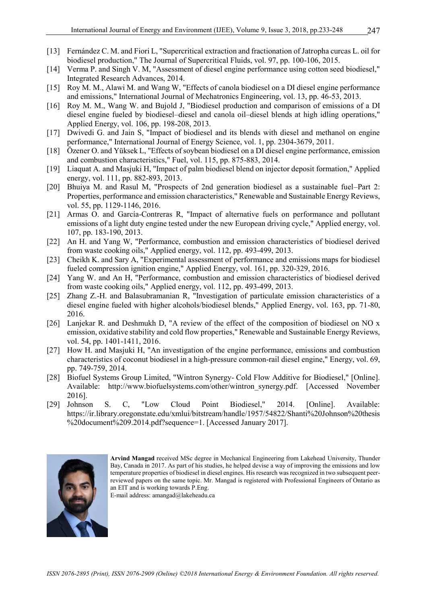- [13] Fernández C. M. and Fiori L, "Supercritical extraction and fractionation of Jatropha curcas L. oil for biodiesel production," The Journal of Supercritical Fluids, vol. 97, pp. 100-106, 2015.
- [14] Verma P. and Singh V. M, "Assessment of diesel engine performance using cotton seed biodiesel," Integrated Research Advances, 2014.
- [15] Roy M. M., Alawi M. and Wang W, "Effects of canola biodiesel on a DI diesel engine performance and emissions," International Journal of Mechatronics Engineering, vol. 13, pp. 46-53, 2013.
- [16] Roy M. M., Wang W. and Bujold J, "Biodiesel production and comparison of emissions of a DI diesel engine fueled by biodiesel–diesel and canola oil–diesel blends at high idling operations," Applied Energy, vol. 106, pp. 198-208, 2013.
- [17] Dwivedi G. and Jain S, "Impact of biodiesel and its blends with diesel and methanol on engine performance," International Journal of Energy Science, vol. 1, pp. 2304-3679, 2011.
- [18] Özener O. and Yüksek L, "Effects of soybean biodiesel on a DI diesel engine performance, emission and combustion characteristics," Fuel, vol. 115, pp. 875-883, 2014.
- [19] Liaquat A. and Masjuki H, "Impact of palm biodiesel blend on injector deposit formation," Applied energy, vol. 111, pp. 882-893, 2013.
- [20] Bhuiya M. and Rasul M, "Prospects of 2nd generation biodiesel as a sustainable fuel–Part 2: Properties, performance and emission characteristics," Renewable and Sustainable Energy Reviews, vol. 55, pp. 1129-1146, 2016.
- [21] Armas O. and García-Contreras R, "Impact of alternative fuels on performance and pollutant emissions of a light duty engine tested under the new European driving cycle," Applied energy, vol. 107, pp. 183-190, 2013.
- [22] An H. and Yang W, "Performance, combustion and emission characteristics of biodiesel derived from waste cooking oils," Applied energy, vol. 112, pp. 493-499, 2013.
- [23] Cheikh K. and Sary A, "Experimental assessment of performance and emissions maps for biodiesel fueled compression ignition engine," Applied Energy, vol. 161, pp. 320-329, 2016.
- [24] Yang W. and An H, "Performance, combustion and emission characteristics of biodiesel derived from waste cooking oils," Applied energy, vol. 112, pp. 493-499, 2013.
- [25] Zhang Z.-H. and Balasubramanian R, "Investigation of particulate emission characteristics of a diesel engine fueled with higher alcohols/biodiesel blends," Applied Energy, vol. 163, pp. 71-80, 2016.
- [26] Lanjekar R. and Deshmukh D, "A review of the effect of the composition of biodiesel on NO x emission, oxidative stability and cold flow properties," Renewable and Sustainable Energy Reviews, vol. 54, pp. 1401-1411, 2016.
- [27] How H. and Masjuki H, "An investigation of the engine performance, emissions and combustion characteristics of coconut biodiesel in a high-pressure common-rail diesel engine," Energy, vol. 69, pp. 749-759, 2014.
- [28] Biofuel Systems Group Limited, "Wintron Synergy- Cold Flow Additive for Biodiesel," [Online]. Available: http://www.biofuelsystems.com/other/wintron\_synergy.pdf. [Accessed November 2016].
- [29] Johnson S. C, "Low Cloud Point Biodiesel," 2014. [Online]. Available: https://ir.library.oregonstate.edu/xmlui/bitstream/handle/1957/54822/Shanti%20Johnson%20thesis %20document%209.2014.pdf?sequence=1. [Accessed January 2017].



**Arvind Mangad** received MSc degree in Mechanical Engineering from Lakehead University, Thunder Bay, Canada in 2017. As part of his studies, he helped devise a way of improving the emissions and low temperature properties of biodiesel in diesel engines. His research was recognized in two subsequent peerreviewed papers on the same topic. Mr. Mangad is registered with Professional Engineers of Ontario as an EIT and is working towards P.Eng.

E-mail address: amangad@lakeheadu.ca